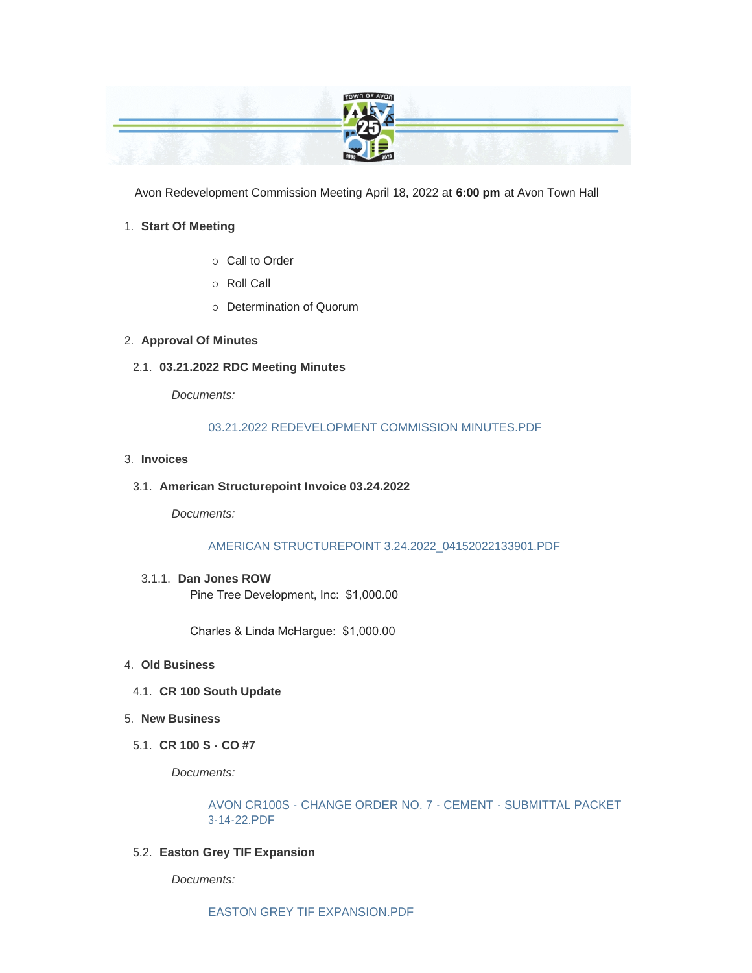

Avon Redevelopment Commission Meeting April 18, 2022 at **6:00 pm** at Avon Town Hall

## **Start Of Meeting** 1.

- o Call to Order
- ¡ Roll Call
- o Determination of Quorum

## **Approval Of Minutes** 2.

**03.21.2022 RDC Meeting Minutes** 2.1.

*Documents:*

## [03.21.2022 REDEVELOPMENT COMMISSION MINUTES.PDF](https://www.avongov.org/AgendaCenter/ViewFile/Item/346?fileID=241)

- **Invoices** 3.
- **American Structurepoint Invoice 03.24.2022** 3.1.

*Documents:*

[AMERICAN STRUCTUREPOINT 3.24.2022\\_04152022133901.PDF](https://www.avongov.org/AgendaCenter/ViewFile/Item/347?fileID=242)

**Dan Jones ROW** 3.1.1. Pine Tree Development, Inc: \$1,000.00

Charles & Linda McHargue: \$1,000.00

- **Old Business** 4.
	- **CR 100 South Update** 4.1.
- **New Business** 5.
- **CR 100 S CO #7** 5.1.

*Documents:*

[AVON CR100S - CHANGE ORDER NO. 7 - CEMENT - SUBMITTAL PACKET](https://www.avongov.org/AgendaCenter/ViewFile/Item/348?fileID=243)  3-14-22.PDF

**Easton Grey TIF Expansion** 5.2.

*Documents:*